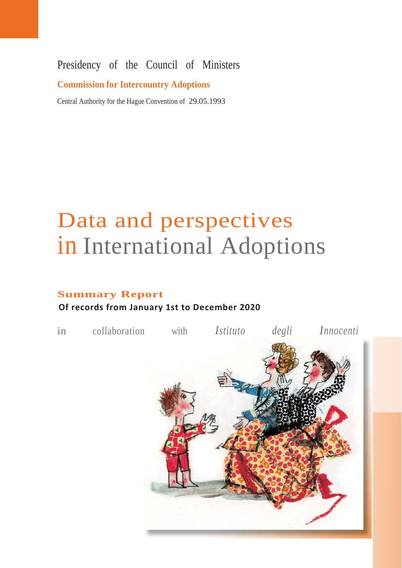### Presidency of the Council of Ministers

### **Commission for Intercountry Adoptions**

Central Authority for the Hague Convention of 29.05.1993

# Data and perspectives in International Adoptions

## **Summary Report**

### **Of records from January 1st to December 2020**

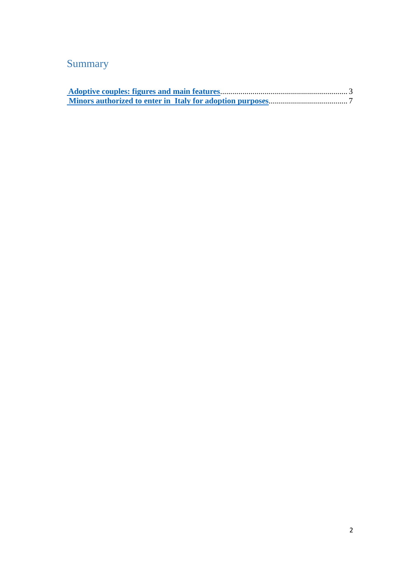### Summary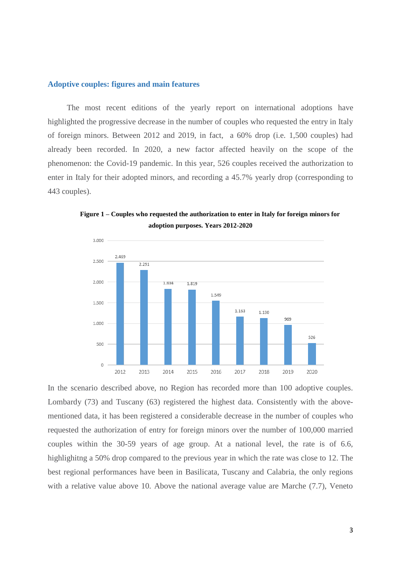#### <span id="page-2-0"></span>**Adoptive couples: figures and main features**

The most recent editions of the yearly report on international adoptions have highlighted the progressive decrease in the number of couples who requested the entry in Italy of foreign minors. Between 2012 and 2019, in fact, a 60% drop (i.e. 1,500 couples) had already been recorded. In 2020, a new factor affected heavily on the scope of the phenomenon: the Covid-19 pandemic. In this year, 526 couples received the authorization to enter in Italy for their adopted minors, and recording a 45.7% yearly drop (corresponding to 443 couples).



**Figure 1 – Couples who requested the authorization to enter in Italy for foreign minors for adoption purposes. Years 2012-2020**

In the scenario described above, no Region has recorded more than 100 adoptive couples. Lombardy (73) and Tuscany (63) registered the highest data. Consistently with the abovementioned data, it has been registered a considerable decrease in the number of couples who requested the authorization of entry for foreign minors over the number of 100,000 married couples within the 30-59 years of age group. At a national level, the rate is of 6.6, highlighitng a 50% drop compared to the previous year in which the rate was close to 12. The best regional performances have been in Basilicata, Tuscany and Calabria, the only regions with a relative value above 10. Above the national average value are Marche (7.7), Veneto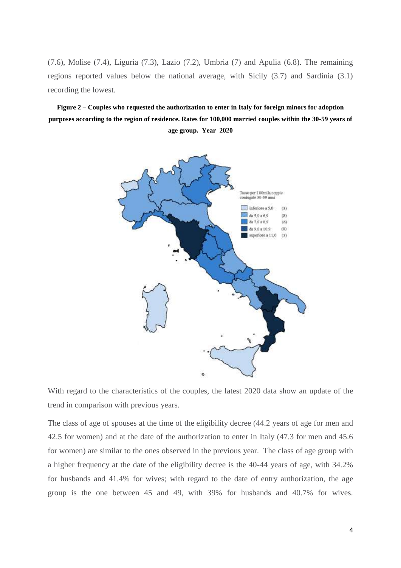(7.6), Molise (7.4), Liguria (7.3), Lazio (7.2), Umbria (7) and Apulia (6.8). The remaining regions reported values below the national average, with Sicily (3.7) and Sardinia (3.1) recording the lowest.

**Figure 2 – Couples who requested the authorization to enter in Italy for foreign minors for adoption purposes according to the region of residence. Rates for 100,000 married couples within the 30-59 years of age group. Year 2020**



With regard to the characteristics of the couples, the latest 2020 data show an update of the trend in comparison with previous years.

The class of age of spouses at the time of the eligibility decree (44.2 years of age for men and 42.5 for women) and at the date of the authorization to enter in Italy (47.3 for men and 45.6 for women) are similar to the ones observed in the previous year. The class of age group with a higher frequency at the date of the eligibility decree is the 40-44 years of age, with 34.2% for husbands and 41.4% for wives; with regard to the date of entry authorization, the age group is the one between 45 and 49, with 39% for husbands and 40.7% for wives.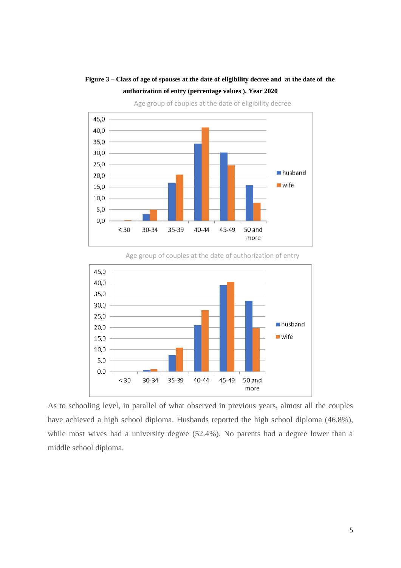### **Figure 3 – Class of age of spouses at the date of eligibility decree and at the date of the authorization of entry (percentage values ). Year 2020**



Age group of couples at the date of eligibility decree

Age group of couples at the date of authorization of entry



As to schooling level, in parallel of what observed in previous years, almost all the couples have achieved a high school diploma. Husbands reported the high school diploma (46.8%), while most wives had a university degree (52.4%). No parents had a degree lower than a middle school diploma.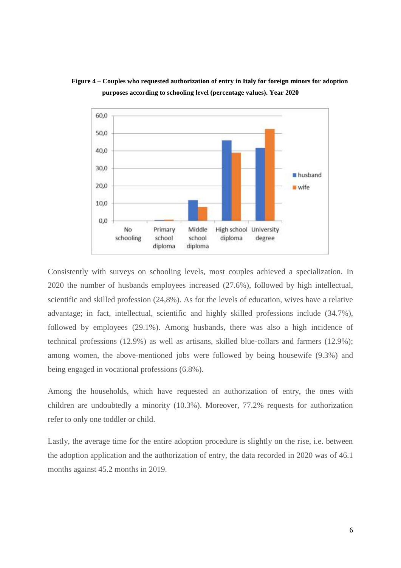

**Figure 4 – Couples who requested authorization of entry in Italy for foreign minors for adoption purposes according to schooling level (percentage values). Year 2020**

Consistently with surveys on schooling levels, most couples achieved a specialization. In 2020 the number of husbands employees increased (27.6%), followed by high intellectual, scientific and skilled profession (24,8%). As for the levels of education, wives have a relative advantage; in fact, intellectual, scientific and highly skilled professions include (34.7%), followed by employees (29.1%). Among husbands, there was also a high incidence of technical professions (12.9%) as well as artisans, skilled blue-collars and farmers (12.9%); among women, the above-mentioned jobs were followed by being housewife (9.3%) and being engaged in vocational professions (6.8%).

Among the households, which have requested an authorization of entry, the ones with children are undoubtedly a minority (10.3%). Moreover, 77.2% requests for authorization refer to only one toddler or child.

Lastly, the average time for the entire adoption procedure is slightly on the rise, i.e. between the adoption application and the authorization of entry, the data recorded in 2020 was of 46.1 months against 45.2 months in 2019.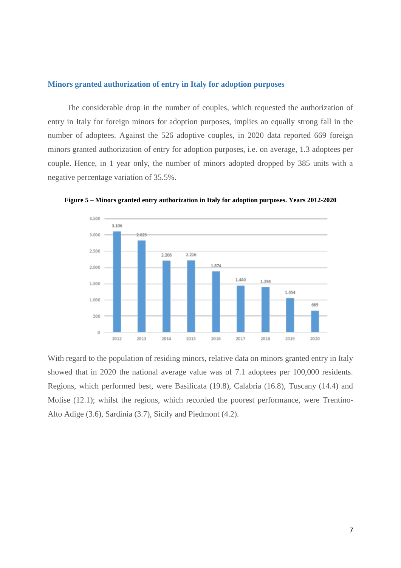#### <span id="page-6-0"></span>**Minors granted authorization of entry in Italy for adoption purposes**

The considerable drop in the number of couples, which requested the authorization of entry in Italy for foreign minors for adoption purposes, implies an equally strong fall in the number of adoptees. Against the 526 adoptive couples, in 2020 data reported 669 foreign minors granted authorization of entry for adoption purposes, i.e. on average, 1.3 adoptees per couple. Hence, in 1 year only, the number of minors adopted dropped by 385 units with a negative percentage variation of 35.5%.



**Figure 5 – Minors granted entry authorization in Italy for adoption purposes. Years 2012-2020**

With regard to the population of residing minors, relative data on minors granted entry in Italy showed that in 2020 the national average value was of 7.1 adoptees per 100,000 residents. Regions, which performed best, were Basilicata (19.8), Calabria (16.8), Tuscany (14.4) and Molise (12.1); whilst the regions, which recorded the poorest performance, were Trentino-Alto Adige (3.6), Sardinia (3.7), Sicily and Piedmont (4.2).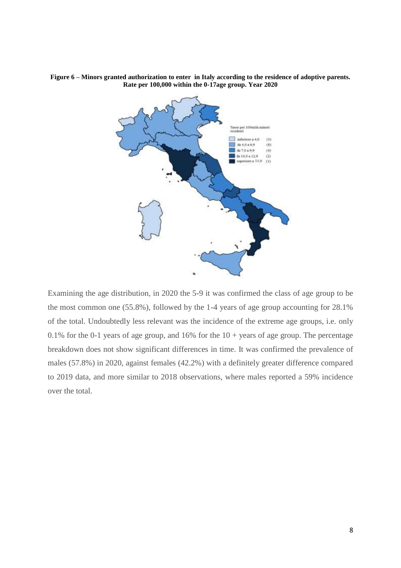

**Figure 6 – Minors granted authorization to enter in Italy according to the residence of adoptive parents. Rate per 100,000 within the 0-17age group. Year 2020**

Examining the age distribution, in 2020 the 5-9 it was confirmed the class of age group to be the most common one (55.8%), followed by the 1-4 years of age group accounting for 28.1% of the total. Undoubtedly less relevant was the incidence of the extreme age groups, i.e. only 0.1% for the 0-1 years of age group, and 16% for the  $10 + \gamma$  years of age group. The percentage breakdown does not show significant differences in time. It was confirmed the prevalence of males (57.8%) in 2020, against females (42.2%) with a definitely greater difference compared to 2019 data, and more similar to 2018 observations, where males reported a 59% incidence over the total.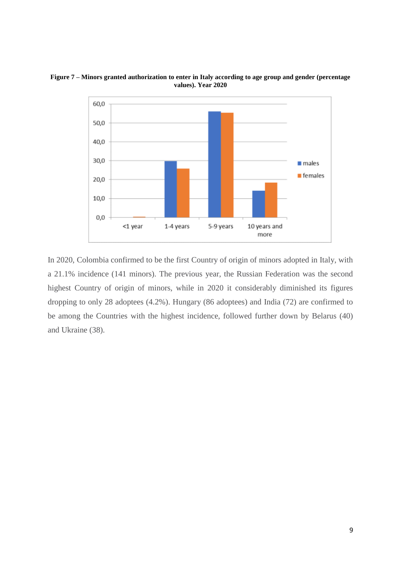

**Figure 7 – Minors granted authorization to enter in Italy according to age group and gender (percentage values). Year 2020**

In 2020, Colombia confirmed to be the first Country of origin of minors adopted in Italy, with a 21.1% incidence (141 minors). The previous year, the Russian Federation was the second highest Country of origin of minors, while in 2020 it considerably diminished its figures dropping to only 28 adoptees (4.2%). Hungary (86 adoptees) and India (72) are confirmed to be among the Countries with the highest incidence, followed further down by Belarus (40) and Ukraine (38).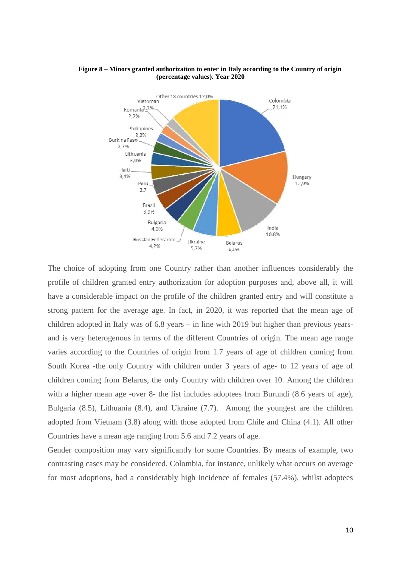

#### **Figure 8 – Minors granted authorization to enter in Italy according to the Country of origin (percentage values). Year 2020**

The choice of adopting from one Country rather than another influences considerably the profile of children granted entry authorization for adoption purposes and, above all, it will have a considerable impact on the profile of the children granted entry and will constitute a strong pattern for the average age. In fact, in 2020, it was reported that the mean age of children adopted in Italy was of 6.8 years – in line with 2019 but higher than previous yearsand is very heterogenous in terms of the different Countries of origin. The mean age range varies according to the Countries of origin from 1.7 years of age of children coming from South Korea -the only Country with children under 3 years of age- to 12 years of age of children coming from Belarus, the only Country with children over 10. Among the children with a higher mean age -over 8- the list includes adoptees from Burundi (8.6 years of age), Bulgaria (8.5), Lithuania (8.4), and Ukraine (7.7). Among the youngest are the children adopted from Vietnam (3.8) along with those adopted from Chile and China (4.1). All other Countries have a mean age ranging from 5.6 and 7.2 years of age.

Gender composition may vary significantly for some Countries. By means of example, two contrasting cases may be considered. Colombia, for instance, unlikely what occurs on average for most adoptions, had a considerably high incidence of females (57.4%), whilst adoptees